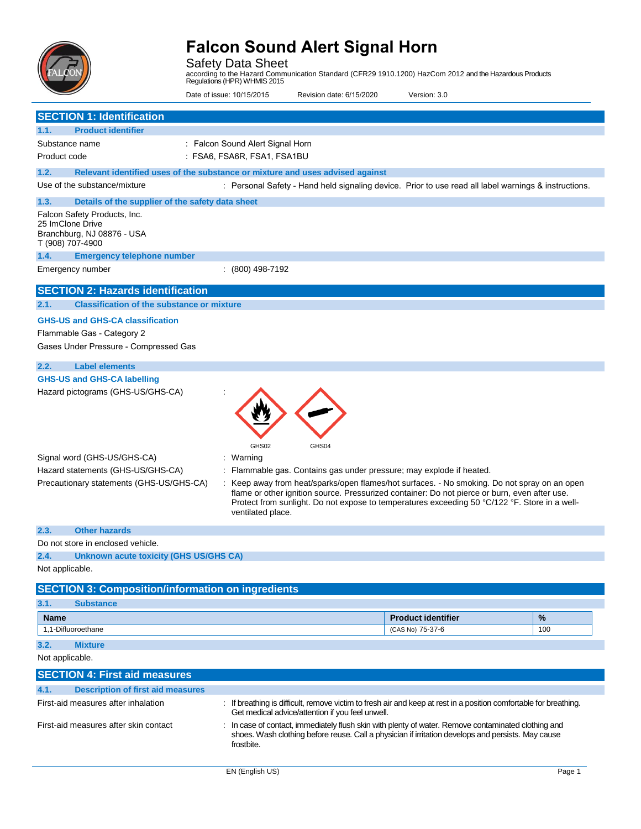

Safety Data Sheet according to the Hazard Communication Standard (CFR29 1910.1200) HazCom 2012 and the Hazardous Products Regulations (HPR) WHMIS 2015

Date of issue: 10/15/2015 Revision date: 6/15/2020 Version: 3.0

**SECTION 1: Identification 1.1. Product identifier** Substance name Product code : Falcon Sound Alert Signal Horn : FSA6, FSA6R, FSA1, FSA1BU **1.2. Relevant identified uses of the substance or mixture and uses advised against** Use of the substance/mixture **included in the State of the State of the State I** Personal Safety - Hand held signaling device. Prior to use read all label warnings & instructions. **1.3. Details of the supplier of the safety data sheet** Falcon Safety Products, Inc. 25 ImClone Drive Branchburg, NJ 08876 - USA T (908) 707-4900 **1.4. Emergency telephone number** Emergency number : (800) 498-7192 **SECTION 2: Hazards identification 2.1. Classification of the substance or mixture GHS-US and GHS-CA classification**  Flammable Gas - Category 2

Gases Under Pressure - Compressed Gas

### **2.2. Label elements**

:

### **GHS-US and GHS-CA labelling**

Hazard pictograms (GHS-US/GHS-CA)



ventilated place.

| Signal word (GHS-US/GHS-CA)              | Warning                                                                                                                                                                                     |
|------------------------------------------|---------------------------------------------------------------------------------------------------------------------------------------------------------------------------------------------|
| Hazard statements (GHS-US/GHS-CA)        | Flammable gas. Contains gas under pressure; may explode if heated.                                                                                                                          |
| Precautionary statements (GHS-US/GHS-CA) | Keep away from heat/sparks/open flames/hot surfaces. - No smoking. Do not spray on an open<br>flame or other ignition source. Pressurized container: Do not pierce or burn, even after use. |

Protect from sunlight. Do not expose to temperatures exceeding 50 °C/122 °F. Store in a well-

#### **2.3. Other hazards**

Do not store in enclosed vehicle.

#### **2.4. Unknown acute toxicity (GHS US/GHS CA)**

Not applicable.

| <b>SECTION 3: Composition/information on ingredients</b> |                  |                           |               |  |
|----------------------------------------------------------|------------------|---------------------------|---------------|--|
| 3.1.                                                     | <b>Substance</b> |                           |               |  |
| <b>Name</b>                                              |                  | <b>Product identifier</b> | $\frac{9}{6}$ |  |
| 1.1-Difluoroethane                                       |                  | (CAS No) 75-37-6          | 100           |  |
| 3.2.                                                     | <b>Mixture</b>   |                           |               |  |

Not applicable.

| <b>SECTION 4: First aid measures</b>             |                                                                                                                                                                                                                         |  |  |
|--------------------------------------------------|-------------------------------------------------------------------------------------------------------------------------------------------------------------------------------------------------------------------------|--|--|
| 4.1.<br><b>Description of first aid measures</b> |                                                                                                                                                                                                                         |  |  |
| First-aid measures after inhalation              | : If breathing is difficult, remove victim to fresh air and keep at rest in a position comfortable for breathing.<br>Get medical advice/attention if you feel unwell.                                                   |  |  |
| First-aid measures after skin contact            | : In case of contact, immediately flush skin with plenty of water. Remove contaminated clothing and<br>shoes. Wash clothing before reuse. Call a physician if irritation develops and persists. May cause<br>frostbite. |  |  |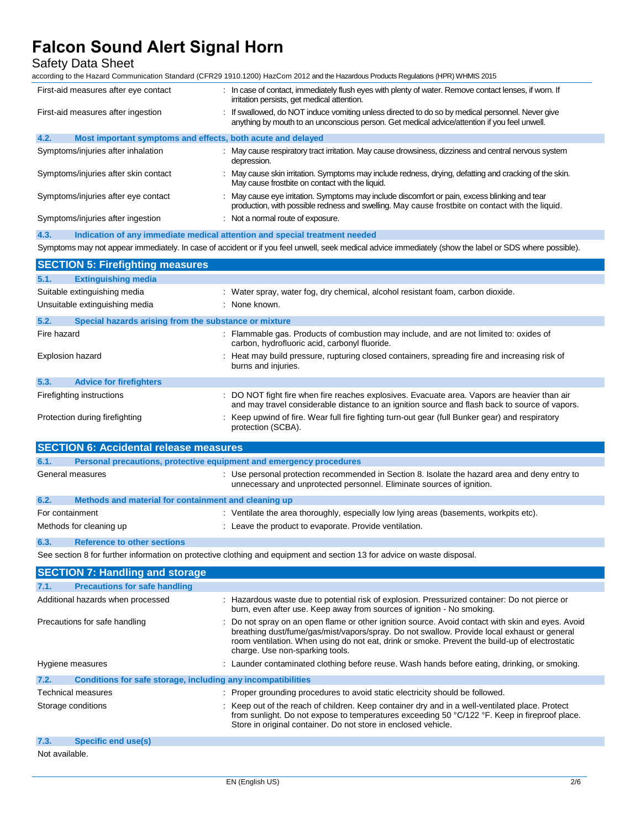### Safety Data Sheet

according to the Hazard Communication Standard (CFR29 1910.1200) HazCom 2012 and the Hazardous Products Regulations (HPR) WHMIS 2015

| First-aid measures after eye contact                                        | In case of contact, immediately flush eyes with plenty of water. Remove contact lenses, if worn. If<br>irritation persists, get medical attention.                                                                                                                                                                                    |  |
|-----------------------------------------------------------------------------|---------------------------------------------------------------------------------------------------------------------------------------------------------------------------------------------------------------------------------------------------------------------------------------------------------------------------------------|--|
| First-aid measures after ingestion                                          | : If swallowed, do NOT induce vomiting unless directed to do so by medical personnel. Never give<br>anything by mouth to an unconscious person. Get medical advice/attention if you feel unwell.                                                                                                                                      |  |
| Most important symptoms and effects, both acute and delayed<br>4.2.         |                                                                                                                                                                                                                                                                                                                                       |  |
| Symptoms/injuries after inhalation                                          | : May cause respiratory tract irritation. May cause drowsiness, dizziness and central nervous system<br>depression.                                                                                                                                                                                                                   |  |
| Symptoms/injuries after skin contact                                        | May cause skin irritation. Symptoms may include redness, drying, defatting and cracking of the skin.<br>May cause frostbite on contact with the liquid.                                                                                                                                                                               |  |
| Symptoms/injuries after eye contact                                         | May cause eye irritation. Symptoms may include discomfort or pain, excess blinking and tear<br>production, with possible redness and swelling. May cause frostbite on contact with the liquid.                                                                                                                                        |  |
| Symptoms/injuries after ingestion                                           | : Not a normal route of exposure.                                                                                                                                                                                                                                                                                                     |  |
| 4.3.                                                                        | Indication of any immediate medical attention and special treatment needed                                                                                                                                                                                                                                                            |  |
|                                                                             | Symptoms may not appear immediately. In case of accident or if you feel unwell, seek medical advice immediately (show the label or SDS where possible).                                                                                                                                                                               |  |
| <b>SECTION 5: Firefighting measures</b>                                     |                                                                                                                                                                                                                                                                                                                                       |  |
| <b>Extinguishing media</b><br>5.1.                                          |                                                                                                                                                                                                                                                                                                                                       |  |
| Suitable extinguishing media                                                | : Water spray, water fog, dry chemical, alcohol resistant foam, carbon dioxide.                                                                                                                                                                                                                                                       |  |
| Unsuitable extinguishing media                                              | : None known.                                                                                                                                                                                                                                                                                                                         |  |
| 5.2.<br>Special hazards arising from the substance or mixture               |                                                                                                                                                                                                                                                                                                                                       |  |
| Fire hazard                                                                 | : Flammable gas. Products of combustion may include, and are not limited to: oxides of<br>carbon, hydrofluoric acid, carbonyl fluoride.                                                                                                                                                                                               |  |
| Explosion hazard                                                            | Heat may build pressure, rupturing closed containers, spreading fire and increasing risk of<br>burns and injuries.                                                                                                                                                                                                                    |  |
| 5.3.<br><b>Advice for firefighters</b>                                      |                                                                                                                                                                                                                                                                                                                                       |  |
| Firefighting instructions                                                   | : DO NOT fight fire when fire reaches explosives. Evacuate area. Vapors are heavier than air<br>and may travel considerable distance to an ignition source and flash back to source of vapors.                                                                                                                                        |  |
| Protection during firefighting                                              | : Keep upwind of fire. Wear full fire fighting turn-out gear (full Bunker gear) and respiratory                                                                                                                                                                                                                                       |  |
|                                                                             | protection (SCBA).                                                                                                                                                                                                                                                                                                                    |  |
|                                                                             |                                                                                                                                                                                                                                                                                                                                       |  |
| <b>SECTION 6: Accidental release measures</b>                               |                                                                                                                                                                                                                                                                                                                                       |  |
| 6.1.<br>Personal precautions, protective equipment and emergency procedures |                                                                                                                                                                                                                                                                                                                                       |  |
| General measures                                                            | : Use personal protection recommended in Section 8. Isolate the hazard area and deny entry to<br>unnecessary and unprotected personnel. Eliminate sources of ignition.                                                                                                                                                                |  |
| 6.2.<br>Methods and material for containment and cleaning up                |                                                                                                                                                                                                                                                                                                                                       |  |
| For containment                                                             | : Ventilate the area thoroughly, especially low lying areas (basements, workpits etc).                                                                                                                                                                                                                                                |  |
| Methods for cleaning up                                                     | : Leave the product to evaporate. Provide ventilation.                                                                                                                                                                                                                                                                                |  |
| <b>Reference to other sections</b><br>6.3.                                  |                                                                                                                                                                                                                                                                                                                                       |  |
|                                                                             | See section 8 for further information on protective clothing and equipment and section 13 for advice on waste disposal.                                                                                                                                                                                                               |  |
| <b>SECTION 7: Handling and storage</b>                                      |                                                                                                                                                                                                                                                                                                                                       |  |
| <b>Precautions for safe handling</b><br>7.1.                                |                                                                                                                                                                                                                                                                                                                                       |  |
| Additional hazards when processed                                           | : Hazardous waste due to potential risk of explosion. Pressurized container: Do not pierce or<br>burn, even after use. Keep away from sources of ignition - No smoking.                                                                                                                                                               |  |
| Precautions for safe handling                                               | : Do not spray on an open flame or other ignition source. Avoid contact with skin and eyes. Avoid<br>breathing dust/fume/gas/mist/vapors/spray. Do not swallow. Provide local exhaust or general<br>room ventilation. When using do not eat, drink or smoke. Prevent the build-up of electrostatic<br>charge. Use non-sparking tools. |  |
| Hygiene measures                                                            | : Launder contaminated clothing before reuse. Wash hands before eating, drinking, or smoking.                                                                                                                                                                                                                                         |  |
| 7.2.<br>Conditions for safe storage, including any incompatibilities        |                                                                                                                                                                                                                                                                                                                                       |  |
| Technical measures                                                          | : Proper grounding procedures to avoid static electricity should be followed.                                                                                                                                                                                                                                                         |  |
| Storage conditions                                                          | : Keep out of the reach of children. Keep container dry and in a well-ventilated place. Protect<br>from sunlight. Do not expose to temperatures exceeding 50 °C/122 °F. Keep in fireproof place.<br>Store in original container. Do not store in enclosed vehicle.                                                                    |  |
| <b>Specific end use(s)</b><br>7.3.                                          |                                                                                                                                                                                                                                                                                                                                       |  |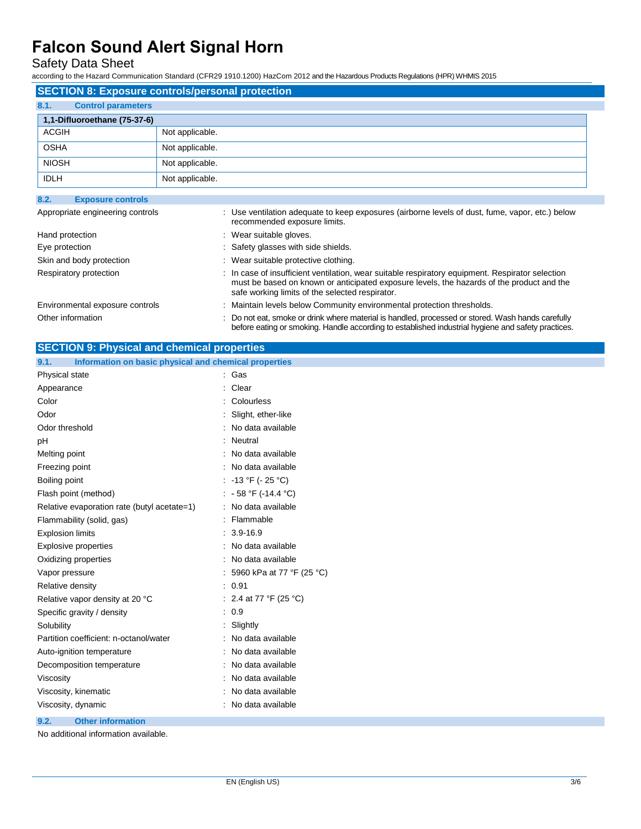Safety Data Sheet

according to the Hazard Communication Standard (CFR29 1910.1200) HazCom 2012 and the Hazardous Products Regulations (HPR) WHMIS 2015

| <b>SECTION 8: Exposure controls/personal protection</b> |                 |  |  |  |
|---------------------------------------------------------|-----------------|--|--|--|
| 8.1.<br><b>Control parameters</b>                       |                 |  |  |  |
| 1,1-Difluoroethane (75-37-6)                            |                 |  |  |  |
| <b>ACGIH</b>                                            | Not applicable. |  |  |  |
| <b>OSHA</b>                                             | Not applicable. |  |  |  |
| <b>NIOSH</b>                                            | Not applicable. |  |  |  |
| <b>IDLH</b>                                             | Not applicable. |  |  |  |

| 8.2.<br><b>Exposure controls</b> |                                                                                                                                                                                                                                                  |
|----------------------------------|--------------------------------------------------------------------------------------------------------------------------------------------------------------------------------------------------------------------------------------------------|
| Appropriate engineering controls | : Use ventilation adequate to keep exposures (airborne levels of dust, fume, vapor, etc.) below<br>recommended exposure limits.                                                                                                                  |
| Hand protection                  | : Wear suitable gloves.                                                                                                                                                                                                                          |
| Eye protection                   | : Safety glasses with side shields.                                                                                                                                                                                                              |
| Skin and body protection         | : Wear suitable protective clothing.                                                                                                                                                                                                             |
| Respiratory protection           | : In case of insufficient ventilation, wear suitable respiratory equipment. Respirator selection<br>must be based on known or anticipated exposure levels, the hazards of the product and the<br>safe working limits of the selected respirator. |
| Environmental exposure controls  | : Maintain levels below Community environmental protection thresholds.                                                                                                                                                                           |
| Other information                | : Do not eat, smoke or drink where material is handled, processed or stored. Wash hands carefully<br>before eating or smoking. Handle according to established industrial hygiene and safety practices.                                          |

| <b>SECTION 9: Physical and chemical properties</b>            |                             |  |  |  |
|---------------------------------------------------------------|-----------------------------|--|--|--|
| Information on basic physical and chemical properties<br>9.1. |                             |  |  |  |
| Physical state                                                | : Gas                       |  |  |  |
| Appearance                                                    | : Clear                     |  |  |  |
| Color                                                         | Colourless                  |  |  |  |
| Odor                                                          | Slight, ether-like          |  |  |  |
| Odor threshold                                                | No data available           |  |  |  |
| pH                                                            | Neutral                     |  |  |  |
| Melting point                                                 | : No data available         |  |  |  |
| Freezing point                                                | : No data available         |  |  |  |
| Boiling point                                                 | : -13 °F (-25 °C)           |  |  |  |
| Flash point (method)                                          | : $-58 °F (-14.4 °C)$       |  |  |  |
| Relative evaporation rate (butyl acetate=1)                   | : No data available         |  |  |  |
| Flammability (solid, gas)                                     | Flammable                   |  |  |  |
| <b>Explosion limits</b>                                       | $: 3.9 - 16.9$              |  |  |  |
| <b>Explosive properties</b>                                   | : No data available         |  |  |  |
| Oxidizing properties                                          | : No data available         |  |  |  |
| Vapor pressure                                                | : 5960 kPa at 77 °F (25 °C) |  |  |  |
| Relative density                                              | : 0.91                      |  |  |  |
| Relative vapor density at 20 °C                               | : 2.4 at 77 °F (25 °C)      |  |  |  |
| Specific gravity / density                                    | . 0.9                       |  |  |  |
| Solubility                                                    | : Slightly                  |  |  |  |
| Partition coefficient: n-octanol/water                        | No data available           |  |  |  |
| Auto-ignition temperature                                     | : No data available         |  |  |  |
| Decomposition temperature                                     | : No data available         |  |  |  |
| Viscosity                                                     | No data available           |  |  |  |
| Viscosity, kinematic                                          | No data available           |  |  |  |
| Viscosity, dynamic                                            | No data available           |  |  |  |
| 9.2.<br><b>Other information</b>                              |                             |  |  |  |

No additional information available.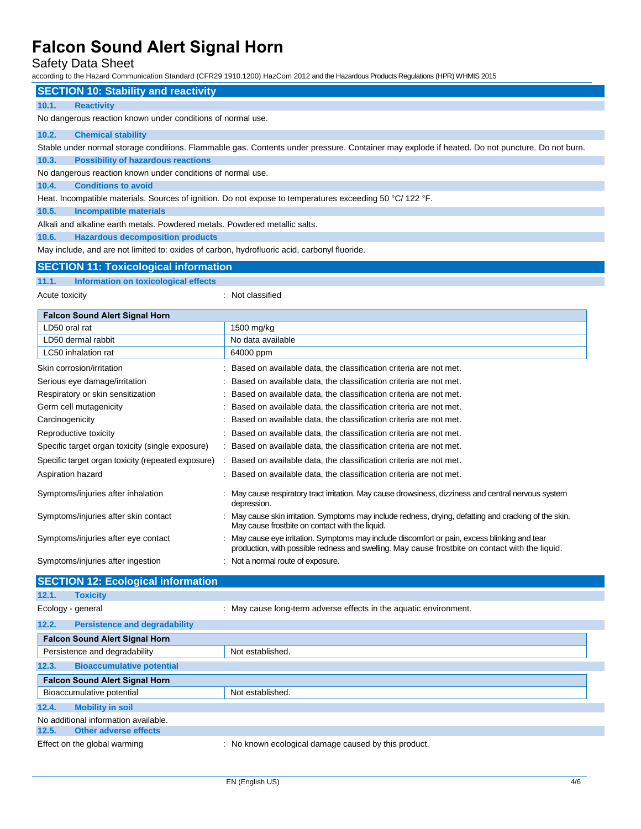### Safety Data Sheet

according to the Hazard Communication Standard (CFR29 1910.1200) HazCom 2012 and the Hazardous Products Regulations (HPR) WHMIS 2015

#### **SECTION 10: Stability and reactivity**

#### **10.1. Reactivity**

No dangerous reaction known under conditions of normal use.

#### **10.2. Chemical stability**

Stable under normal storage conditions. Flammable gas. Contents under pressure. Container may explode if heated. Do not puncture. Do not burn.

**10.3. Possibility of hazardous reactions** 

No dangerous reaction known under conditions of normal use.

#### **10.4. Conditions to avoid**

Heat. Incompatible materials. Sources of ignition. Do not expose to temperatures exceeding 50 °C/ 122 °F.

**10.5. Incompatible materials** 

Alkali and alkaline earth metals. Powdered metals. Powdered metallic salts.

**10.6. Hazardous decomposition products** 

May include, and are not limited to: oxides of carbon, hydrofluoric acid, carbonyl fluoride.

#### **SECTION 11: Toxicological information**

#### **11.1. Information on toxicological effects**

Acute toxicity in the contract of the contract of the contract of the contract of the contract of the contract of the contract of the contract of the contract of the contract of the contract of the contract of the contract

| <b>Falcon Sound Alert Signal Horn</b>              |  |                                                                                                                                                                                                |  |
|----------------------------------------------------|--|------------------------------------------------------------------------------------------------------------------------------------------------------------------------------------------------|--|
| LD50 oral rat                                      |  | 1500 mg/kg                                                                                                                                                                                     |  |
| LD50 dermal rabbit                                 |  | No data available                                                                                                                                                                              |  |
| LC50 inhalation rat                                |  | 64000 ppm                                                                                                                                                                                      |  |
| Skin corrosion/irritation                          |  | Based on available data, the classification criteria are not met.                                                                                                                              |  |
| Serious eye damage/irritation                      |  | Based on available data, the classification criteria are not met.                                                                                                                              |  |
| Respiratory or skin sensitization                  |  | Based on available data, the classification criteria are not met.                                                                                                                              |  |
| Germ cell mutagenicity                             |  | Based on available data, the classification criteria are not met.                                                                                                                              |  |
| Carcinogenicity                                    |  | Based on available data, the classification criteria are not met.                                                                                                                              |  |
| Reproductive toxicity                              |  | Based on available data, the classification criteria are not met.                                                                                                                              |  |
| Specific target organ toxicity (single exposure)   |  | : Based on available data, the classification criteria are not met.                                                                                                                            |  |
| Specific target organ toxicity (repeated exposure) |  | Based on available data, the classification criteria are not met.                                                                                                                              |  |
| Aspiration hazard                                  |  | : Based on available data, the classification criteria are not met.                                                                                                                            |  |
| Symptoms/injuries after inhalation                 |  | : May cause respiratory tract irritation. May cause drowsiness, dizziness and central nervous system<br>depression.                                                                            |  |
| Symptoms/injuries after skin contact               |  | May cause skin irritation. Symptoms may include redness, drying, defatting and cracking of the skin.<br>May cause frostbite on contact with the liquid.                                        |  |
| Symptoms/injuries after eye contact                |  | May cause eye irritation. Symptoms may include discomfort or pain, excess blinking and tear<br>production, with possible redness and swelling. May cause frostbite on contact with the liquid. |  |
| Symptoms/injuries after ingestion                  |  | : Not a normal route of exposure.                                                                                                                                                              |  |

### **SECTION 12: Ecological information 12.1. Toxicity** Ecology - general **Ecology** - general  $\cdot$  May cause long-term adverse effects in the aquatic environment. **12.2. Persistence and degradability Falcon Sound Alert Signal Horn** Persistence and degradability Not established. **12.3. Bioaccumulative potential Falcon Sound Alert Signal Horn** Bioaccumulative potential Not established. **12.4. Mobility in soil** No additional information available. **12.5. Other adverse effects** Effect on the global warming : No known ecological damage caused by this product.

EN (English US) 4/6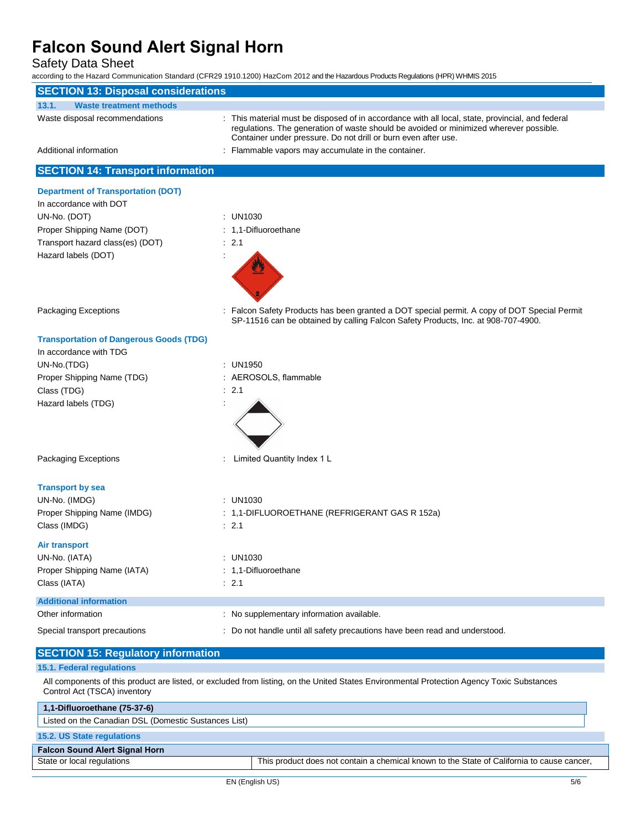Safety Data Sheet

according to the Hazard Communication Standard (CFR29 1910.1200) HazCom 2012 and the Hazardous Products Regulations (HPR) WHMIS 2015

| <b>SECTION 13: Disposal considerations</b>                                                                                                                                 |                                                                                                                                                                                                                                                              |  |  |
|----------------------------------------------------------------------------------------------------------------------------------------------------------------------------|--------------------------------------------------------------------------------------------------------------------------------------------------------------------------------------------------------------------------------------------------------------|--|--|
| 13.1.<br><b>Waste treatment methods</b>                                                                                                                                    |                                                                                                                                                                                                                                                              |  |  |
| Waste disposal recommendations                                                                                                                                             | : This material must be disposed of in accordance with all local, state, provincial, and federal<br>regulations. The generation of waste should be avoided or minimized wherever possible.<br>Container under pressure. Do not drill or burn even after use. |  |  |
| Additional information                                                                                                                                                     | : Flammable vapors may accumulate in the container.                                                                                                                                                                                                          |  |  |
| <b>SECTION 14: Transport information</b>                                                                                                                                   |                                                                                                                                                                                                                                                              |  |  |
| <b>Department of Transportation (DOT)</b>                                                                                                                                  |                                                                                                                                                                                                                                                              |  |  |
| In accordance with DOT                                                                                                                                                     |                                                                                                                                                                                                                                                              |  |  |
| UN-No. (DOT)                                                                                                                                                               | : UN1030                                                                                                                                                                                                                                                     |  |  |
| Proper Shipping Name (DOT)                                                                                                                                                 | : 1,1-Difluoroethane                                                                                                                                                                                                                                         |  |  |
| Transport hazard class(es) (DOT)                                                                                                                                           | : 2.1                                                                                                                                                                                                                                                        |  |  |
| Hazard labels (DOT)                                                                                                                                                        |                                                                                                                                                                                                                                                              |  |  |
| <b>Packaging Exceptions</b>                                                                                                                                                | : Falcon Safety Products has been granted a DOT special permit. A copy of DOT Special Permit<br>SP-11516 can be obtained by calling Falcon Safety Products, Inc. at 908-707-4900.                                                                            |  |  |
| <b>Transportation of Dangerous Goods (TDG)</b>                                                                                                                             |                                                                                                                                                                                                                                                              |  |  |
| In accordance with TDG                                                                                                                                                     |                                                                                                                                                                                                                                                              |  |  |
| UN-No.(TDG)                                                                                                                                                                | : UN1950                                                                                                                                                                                                                                                     |  |  |
| Proper Shipping Name (TDG)                                                                                                                                                 | : AEROSOLS, flammable                                                                                                                                                                                                                                        |  |  |
| Class (TDG)                                                                                                                                                                | : 2.1                                                                                                                                                                                                                                                        |  |  |
| Hazard labels (TDG)                                                                                                                                                        |                                                                                                                                                                                                                                                              |  |  |
| Packaging Exceptions                                                                                                                                                       | Limited Quantity Index 1 L                                                                                                                                                                                                                                   |  |  |
| <b>Transport by sea</b>                                                                                                                                                    |                                                                                                                                                                                                                                                              |  |  |
| UN-No. (IMDG)                                                                                                                                                              | $:$ UN1030                                                                                                                                                                                                                                                   |  |  |
| Proper Shipping Name (IMDG)                                                                                                                                                | : 1,1-DIFLUOROETHANE (REFRIGERANT GAS R 152a)                                                                                                                                                                                                                |  |  |
| Class (IMDG)                                                                                                                                                               | : 2.1                                                                                                                                                                                                                                                        |  |  |
| <b>Air transport</b>                                                                                                                                                       |                                                                                                                                                                                                                                                              |  |  |
| UN-No. (IATA)                                                                                                                                                              | : UN1030                                                                                                                                                                                                                                                     |  |  |
| Proper Shipping Name (IATA)                                                                                                                                                | : 1,1-Difluoroethane                                                                                                                                                                                                                                         |  |  |
| Class (IATA)                                                                                                                                                               | : 2.1                                                                                                                                                                                                                                                        |  |  |
| <b>Additional information</b>                                                                                                                                              |                                                                                                                                                                                                                                                              |  |  |
| Other information                                                                                                                                                          | : No supplementary information available.                                                                                                                                                                                                                    |  |  |
|                                                                                                                                                                            |                                                                                                                                                                                                                                                              |  |  |
| Special transport precautions                                                                                                                                              | : Do not handle until all safety precautions have been read and understood.                                                                                                                                                                                  |  |  |
| <b>SECTION 15: Regulatory information</b>                                                                                                                                  |                                                                                                                                                                                                                                                              |  |  |
| 15.1. Federal regulations                                                                                                                                                  |                                                                                                                                                                                                                                                              |  |  |
| All components of this product are listed, or excluded from listing, on the United States Environmental Protection Agency Toxic Substances<br>Control Act (TSCA) inventory |                                                                                                                                                                                                                                                              |  |  |
| 1,1-Difluoroethane (75-37-6)                                                                                                                                               |                                                                                                                                                                                                                                                              |  |  |
| Listed on the Canadian DSL (Domestic Sustances List)                                                                                                                       |                                                                                                                                                                                                                                                              |  |  |
| 15.2. US State regulations                                                                                                                                                 |                                                                                                                                                                                                                                                              |  |  |
| <b>Falcon Sound Alert Signal Horn</b>                                                                                                                                      |                                                                                                                                                                                                                                                              |  |  |

State or local regulations This product does not contain a chemical known to the State of California to cause cancer,